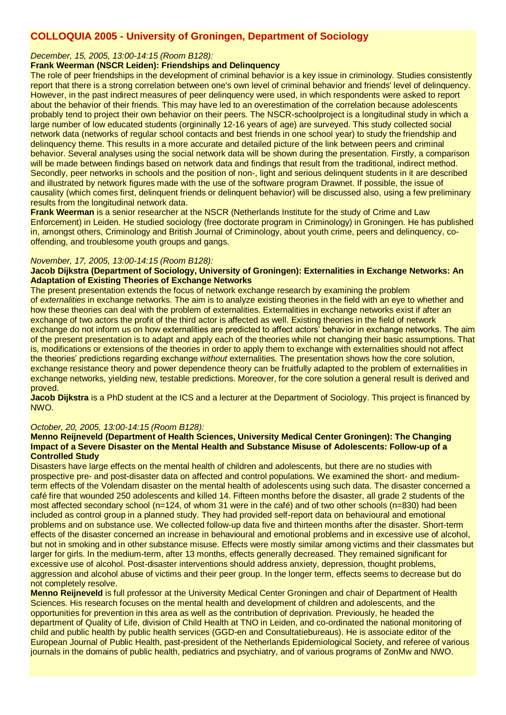# **COLLOQUIA 2005 - University of Groningen, Department of Sociology**

## *December, 15, 2005, 13:00-14:15 (Room B128):*

# **Frank Weerman (NSCR Leiden): Friendships and Delinquency**

The role of peer friendships in the development of criminal behavior is a key issue in criminology. Studies consistently report that there is a strong correlation between one's own level of criminal behavior and friends' level of delinquency. However, in the past indirect measures of peer delinquency were used, in which respondents were asked to report about the behavior of their friends. This may have led to an overestimation of the correlation because adolescents probably tend to project their own behavior on their peers. The NSCR-schoolproject is a longitudinal study in which a large number of low educated students (orgininally 12-16 years of age) are surveyed. This study collected social network data (networks of regular school contacts and best friends in one school year) to study the friendship and delinquency theme. This results in a more accurate and detailed picture of the link between peers and criminal behavior. Several analyses using the social network data will be shown during the presentation. Firstly, a comparison will be made between findings based on network data and findings that result from the traditional, indirect method. Secondly, peer networks in schools and the position of non-, light and serious delinquent students in it are described and illustrated by network figures made with the use of the software program Drawnet. If possible, the issue of causality (which comes first, delinquent friends or delinquent behavior) will be discussed also, using a few preliminary results from the longitudinal network data.

**Frank Weerman** is a senior researcher at the NSCR (Netherlands Institute for the study of Crime and Law Enforcement) in Leiden. He studied sociology (free doctorate program in Criminology) in Groningen. He has published in, amongst others, Criminology and British Journal of Criminology, about youth crime, peers and delinquency, cooffending, and troublesome youth groups and gangs.

## *November, 17, 2005, 13:00-14:15 (Room B128):*

### **Jacob Dijkstra (Department of Sociology, University of Groningen): Externalities in Exchange Networks: An Adaptation of Existing Theories of Exchange Networks**

The present presentation extends the focus of network exchange research by examining the problem of *externalities* in exchange networks. The aim is to analyze existing theories in the field with an eye to whether and how these theories can deal with the problem of externalities. Externalities in exchange networks exist if after an exchange of two actors the profit of the third actor is affected as well. Existing theories in the field of network exchange do not inform us on how externalities are predicted to affect actors' behavior in exchange networks. The aim of the present presentation is to adapt and apply each of the theories while not changing their basic assumptions. That is, modifications or extensions of the theories in order to apply them to exchange with externalities should not affect the theories' predictions regarding exchange *without* externalities. The presentation shows how the core solution, exchange resistance theory and power dependence theory can be fruitfully adapted to the problem of externalities in exchange networks, yielding new, testable predictions. Moreover, for the core solution a general result is derived and proved.

**Jacob Dijkstra** is a PhD student at the ICS and a lecturer at the Department of Sociology. This project is financed by NWO.

#### *October, 20, 2005, 13:00-14:15 (Room B128):*

### **Menno Reijneveld (Department of Health Sciences, University Medical Center Groningen): The Changing Impact of a Severe Disaster on the Mental Health and Substance Misuse of Adolescents: Follow-up of a Controlled Study**

Disasters have large effects on the mental health of children and adolescents, but there are no studies with prospective pre- and post-disaster data on affected and control populations. We examined the short- and mediumterm effects of the Volendam disaster on the mental health of adolescents using such data. The disaster concerned a café fire that wounded 250 adolescents and killed 14. Fifteen months before the disaster, all grade 2 students of the most affected secondary school (n=124, of whom 31 were in the café) and of two other schools (n=830) had been included as control group in a planned study. They had provided self-report data on behavioural and emotional problems and on substance use. We collected follow-up data five and thirteen months after the disaster. Short-term effects of the disaster concerned an increase in behavioural and emotional problems and in excessive use of alcohol, but not in smoking and in other substance misuse. Effects were mostly similar among victims and their classmates but larger for girls. In the medium-term, after 13 months, effects generally decreased. They remained significant for excessive use of alcohol. Post-disaster interventions should address anxiety, depression, thought problems, aggression and alcohol abuse of victims and their peer group. In the longer term, effects seems to decrease but do not completely resolve.

**Menno Reijneveld** is full professor at the University Medical Center Groningen and chair of Department of Health Sciences. His research focuses on the mental health and development of children and adolescents, and the opportunities for prevention in this area as well as the contribution of deprivation. Previously, he headed the department of Quality of Life, division of Child Health at TNO in Leiden, and co-ordinated the national monitoring of child and public health by public health services (GGD-en and Consultatiebureaus). He is associate editor of the European Journal of Public Health, past-president of the Netherlands Epidemiological Society, and referee of various journals in the domains of public health, pediatrics and psychiatry, and of various programs of ZonMw and NWO.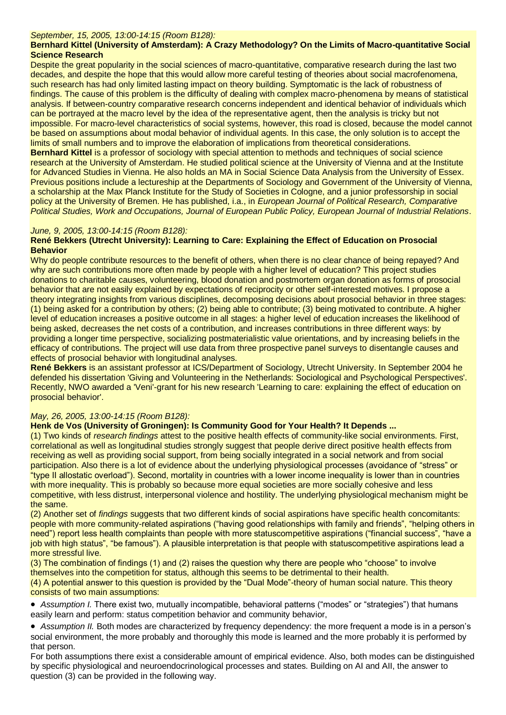# *September, 15, 2005, 13:00-14:15 (Room B128):*

# **Bernhard Kittel (University of Amsterdam): A Crazy Methodology? On the Limits of Macro-quantitative Social Science Research**

Despite the great popularity in the social sciences of macro-quantitative, comparative research during the last two decades, and despite the hope that this would allow more careful testing of theories about social macrofenomena, such research has had only limited lasting impact on theory building. Symptomatic is the lack of robustness of findings. The cause of this problem is the difficulty of dealing with complex macro-phenomena by means of statistical analysis. If between-country comparative research concerns independent and identical behavior of individuals which can be portrayed at the macro level by the idea of the representative agent, then the analysis is tricky but not impossible. For macro-level characteristics of social systems, however, this road is closed, because the model cannot be based on assumptions about modal behavior of individual agents. In this case, the only solution is to accept the limits of small numbers and to improve the elaboration of implications from theoretical considerations.

**Bernhard Kittel** is a professor of sociology with special attention to methods and techniques of social science research at the University of Amsterdam. He studied political science at the University of Vienna and at the Institute for Advanced Studies in Vienna. He also holds an MA in Social Science Data Analysis from the University of Essex. Previous positions include a lectureship at the Departments of Sociology and Government of the University of Vienna, a scholarship at the Max Planck Institute for the Study of Societies in Cologne, and a junior professorship in social policy at the University of Bremen. He has published, i.a., in *European Journal of Political Research, Comparative Political Studies, Work and Occupations, Journal of European Public Policy, European Journal of Industrial Relations*.

# *June, 9, 2005, 13:00-14:15 (Room B128):*

## **René Bekkers (Utrecht University): Learning to Care: Explaining the Effect of Education on Prosocial Behavior**

Why do people contribute resources to the benefit of others, when there is no clear chance of being repayed? And why are such contributions more often made by people with a higher level of education? This project studies donations to charitable causes, volunteering, blood donation and postmortem organ donation as forms of prosocial behavior that are not easily explained by expectations of reciprocity or other self-interested motives. I propose a theory integrating insights from various disciplines, decomposing decisions about prosocial behavior in three stages: (1) being asked for a contribution by others; (2) being able to contribute; (3) being motivated to contribute. A higher level of education increases a positive outcome in all stages: a higher level of education increases the likelihood of being asked, decreases the net costs of a contribution, and increases contributions in three different ways: by providing a longer time perspective, socializing postmaterialistic value orientations, and by increasing beliefs in the efficacy of contributions. The project will use data from three prospective panel surveys to disentangle causes and effects of prosocial behavior with longitudinal analyses.

**René Bekkers** is an assistant professor at ICS/Department of Sociology, Utrecht University. In September 2004 he defended his dissertation 'Giving and Volunteering in the Netherlands: Sociological and Psychological Perspectives'. Recently, NWO awarded a 'Veni'-grant for his new research 'Learning to care: explaining the effect of education on prosocial behavior'.

# *May, 26, 2005, 13:00-14:15 (Room B128):*

#### **Henk de Vos (University of Groningen): Is Community Good for Your Health? It Depends ...**

(1) Two kinds of *research findings* attest to the positive health effects of community-like social environments. First, correlational as well as longitudinal studies strongly suggest that people derive direct positive health effects from receiving as well as providing social support, from being socially integrated in a social network and from social participation. Also there is a lot of evidence about the underlying physiological processes (avoidance of "stress" or "type II allostatic overload"). Second, mortality in countries with a lower income inequality is lower than in countries with more inequality. This is probably so because more equal societies are more socially cohesive and less competitive, with less distrust, interpersonal violence and hostility. The underlying physiological mechanism might be the same.

(2) Another set of *findings* suggests that two different kinds of social aspirations have specific health concomitants: people with more community-related aspirations ("having good relationships with family and friends", "helping others in need") report less health complaints than people with more statuscompetitive aspirations ("financial success", "have a job with high status", "be famous"). A plausible interpretation is that people with statuscompetitive aspirations lead a more stressful live.

(3) The combination of findings (1) and (2) raises the question why there are people who "choose" to involve themselves into the competition for status, although this seems to be detrimental to their health.

(4) A potential answer to this question is provided by the "Dual Mode"-theory of human social nature. This theory consists of two main assumptions:

 *Assumption I.* There exist two, mutually incompatible, behavioral patterns ("modes" or "strategies") that humans easily learn and perform: status competition behavior and community behavior,

 *Assumption II.* Both modes are characterized by frequency dependency: the more frequent a mode is in a person's social environment, the more probably and thoroughly this mode is learned and the more probably it is performed by that person.

For both assumptions there exist a considerable amount of empirical evidence. Also, both modes can be distinguished by specific physiological and neuroendocrinological processes and states. Building on AI and AII, the answer to question (3) can be provided in the following way.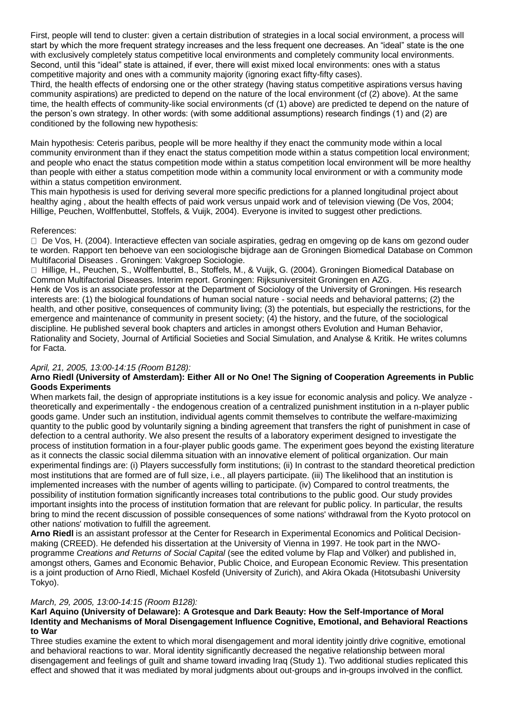First, people will tend to cluster: given a certain distribution of strategies in a local social environment, a process will start by which the more frequent strategy increases and the less frequent one decreases. An "ideal" state is the one with exclusively completely status competitive local environments and completely community local environments. Second, until this "ideal" state is attained, if ever, there will exist mixed local environments: ones with a status competitive majority and ones with a community majority (ignoring exact fifty-fifty cases).

Third, the health effects of endorsing one or the other strategy (having status competitive aspirations versus having community aspirations) are predicted to depend on the nature of the local environment (cf (2) above). At the same time, the health effects of community-like social environments (cf (1) above) are predicted te depend on the nature of the person's own strategy. In other words: (with some additional assumptions) research findings (1) and (2) are conditioned by the following new hypothesis:

Main hypothesis: Ceteris paribus, people will be more healthy if they enact the community mode within a local community environment than if they enact the status competition mode within a status competition local environment; and people who enact the status competition mode within a status competition local environment will be more healthy than people with either a status competition mode within a community local environment or with a community mode within a status competition environment.

This main hypothesis is used for deriving several more specific predictions for a planned longitudinal project about healthy aging , about the health effects of paid work versus unpaid work and of television viewing (De Vos, 2004; Hillige, Peuchen, Wolffenbuttel, Stoffels, & Vuijk, 2004). Everyone is invited to suggest other predictions.

## References:

□ De Vos, H. (2004). Interactieve effecten van sociale aspiraties, gedrag en omgeving op de kans om gezond ouder te worden. Rapport ten behoeve van een sociologische bijdrage aan de Groningen Biomedical Database on Common Multifacorial Diseases . Groningen: Vakgroep Sociologie.

 Hillige, H., Peuchen, S., Wolffenbuttel, B., Stoffels, M., & Vuijk, G. (2004). Groningen Biomedical Database on Common Multifactorial Diseases. Interim report. Groningen: Rijksuniversiteit Groningen en AZG.

Henk de Vos is an associate professor at the Department of Sociology of the University of Groningen. His research interests are: (1) the biological foundations of human social nature - social needs and behavioral patterns; (2) the health, and other positive, consequences of community living; (3) the potentials, but especially the restrictions, for the emergence and maintenance of community in present society; (4) the history, and the future, of the sociological discipline. He published several book chapters and articles in amongst others Evolution and Human Behavior, Rationality and Society, Journal of Artificial Societies and Social Simulation, and Analyse & Kritik. He writes columns for Facta.

# *April, 21, 2005, 13:00-14:15 (Room B128):*

## **Arno Riedl (University of Amsterdam): Either All or No One! The Signing of Cooperation Agreements in Public Goods Experiments**

When markets fail, the design of appropriate institutions is a key issue for economic analysis and policy. We analyze theoretically and experimentally - the endogenous creation of a centralized punishment institution in a n-player public goods game. Under such an institution, individual agents commit themselves to contribute the welfare-maximizing quantity to the public good by voluntarily signing a binding agreement that transfers the right of punishment in case of defection to a central authority. We also present the results of a laboratory experiment designed to investigate the process of institution formation in a four-player public goods game. The experiment goes beyond the existing literature as it connects the classic social dilemma situation with an innovative element of political organization. Our main experimental findings are: (i) Players successfully form institutions; (ii) In contrast to the standard theoretical prediction most institutions that are formed are of full size, i.e., all players participate. (iii) The likelihood that an institution is implemented increases with the number of agents willing to participate. (iv) Compared to control treatments, the possibility of institution formation significantly increases total contributions to the public good. Our study provides important insights into the process of institution formation that are relevant for public policy. In particular, the results bring to mind the recent discussion of possible consequences of some nations' withdrawal from the Kyoto protocol on other nations' motivation to fulfill the agreement.

**Arno Riedl** is an assistant professor at the Center for Research in Experimental Economics and Political Decisionmaking (CREED). He defended his dissertation at the University of Vienna in 1997. He took part in the NWOprogramme *Creations and Returns of Social Capital* (see the edited volume by Flap and Völker) and published in, amongst others, Games and Economic Behavior, Public Choice, and European Economic Review. This presentation is a joint production of Arno Riedl, Michael Kosfeld (University of Zurich), and Akira Okada (Hitotsubashi University Tokyo).

# *March, 29, 2005, 13:00-14:15 (Room B128):*

## **Karl Aquino (University of Delaware): A Grotesque and Dark Beauty: How the Self-Importance of Moral Identity and Mechanisms of Moral Disengagement Influence Cognitive, Emotional, and Behavioral Reactions to War**

Three studies examine the extent to which moral disengagement and moral identity jointly drive cognitive, emotional and behavioral reactions to war. Moral identity significantly decreased the negative relationship between moral disengagement and feelings of guilt and shame toward invading Iraq (Study 1). Two additional studies replicated this effect and showed that it was mediated by moral judgments about out-groups and in-groups involved in the conflict.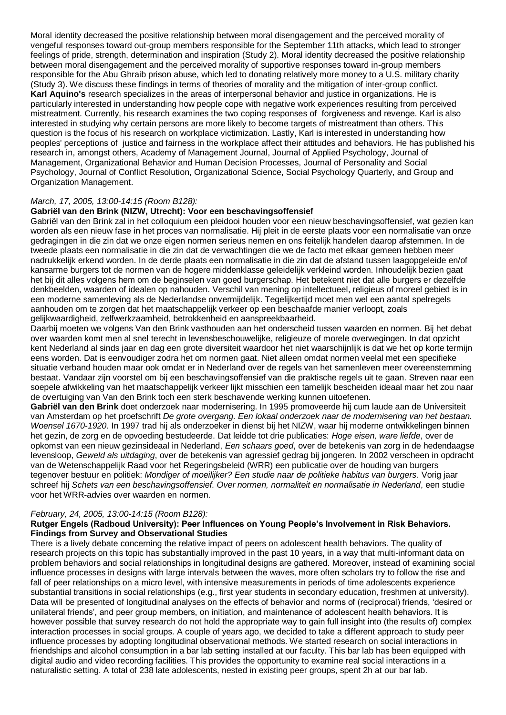Moral identity decreased the positive relationship between moral disengagement and the perceived morality of vengeful responses toward out-group members responsible for the September 11th attacks, which lead to stronger feelings of pride, strength, determination and inspiration (Study 2). Moral identity decreased the positive relationship between moral disengagement and the perceived morality of supportive responses toward in-group members responsible for the Abu Ghraib prison abuse, which led to donating relatively more money to a U.S. military charity (Study 3). We discuss these findings in terms of theories of morality and the mitigation of inter-group conflict. **Karl Aquino's** research specializes in the areas of interpersonal behavior and justice in organizations. He is particularly interested in understanding how people cope with negative work experiences resulting from perceived mistreatment. Currently, his research examines the two coping responses of forgiveness and revenge. Karl is also interested in studying why certain persons are more likely to become targets of mistreatment than others. This question is the focus of his research on workplace victimization. Lastly, Karl is interested in understanding how peoples' perceptions of justice and fairness in the workplace affect their attitudes and behaviors. He has published his research in, amongst others, Academy of Management Journal, Journal of Applied Psychology, Journal of Management, Organizational Behavior and Human Decision Processes, Journal of Personality and Social Psychology, Journal of Conflict Resolution, Organizational Science, Social Psychology Quarterly, and Group and Organization Management.

# *March, 17, 2005, 13:00-14:15 (Room B128):*

# **Gabriël van den Brink (NIZW, Utrecht): Voor een beschavingsoffensief**

Gabriël van den Brink zal in het colloquium een pleidooi houden voor een nieuw beschavingsoffensief, wat gezien kan worden als een nieuw fase in het proces van normalisatie. Hij pleit in de eerste plaats voor een normalisatie van onze gedragingen in die zin dat we onze eigen normen serieus nemen en ons feitelijk handelen daarop afstemmen. In de tweede plaats een normalisatie in die zin dat de verwachtingen die we de facto met elkaar gemeen hebben meer nadrukkelijk erkend worden. In de derde plaats een normalisatie in die zin dat de afstand tussen laagopgeleide en/of kansarme burgers tot de normen van de hogere middenklasse geleidelijk verkleind worden. Inhoudelijk bezien gaat het bij dit alles volgens hem om de beginselen van goed burgerschap. Het betekent niet dat alle burgers er dezelfde denkbeelden, waarden of idealen op nahouden. Verschil van mening op intellectueel, religieus of moreel gebied is in een moderne samenleving als de Nederlandse onvermijdelijk. Tegelijkertijd moet men wel een aantal spelregels aanhouden om te zorgen dat het maatschappelijk verkeer op een beschaafde manier verloopt, zoals gelijkwaardigheid, zelfwerkzaamheid, betrokkenheid en aanspreekbaarheid.

Daarbij moeten we volgens Van den Brink vasthouden aan het onderscheid tussen waarden en normen. Bij het debat over waarden komt men al snel terecht in levensbeschouwelijke, religieuze of morele overwegingen. In dat opzicht kent Nederland al sinds jaar en dag een grote diversiteit waardoor het niet waarschijnlijk is dat we het op korte termijn eens worden. Dat is eenvoudiger zodra het om normen gaat. Niet alleen omdat normen veelal met een specifieke situatie verband houden maar ook omdat er in Nederland over de regels van het samenleven meer overeenstemming bestaat. Vandaar zijn voorstel om bij een beschavingsoffensief van die praktische regels uit te gaan. Streven naar een soepele afwikkeling van het maatschappelijk verkeer lijkt misschien een tamelijk bescheiden ideaal maar het zou naar de overtuiging van Van den Brink toch een sterk beschavende werking kunnen uitoefenen.

**Gabriël van den Brink** doet onderzoek naar modernisering. In 1995 promoveerde hij cum laude aan de Universiteit van Amsterdam op het proefschrift *De grote overgang. Een lokaal onderzoek naar de modernisering van het bestaan. Woensel 1670-1920*. In 1997 trad hij als onderzoeker in dienst bij het NIZW, waar hij moderne ontwikkelingen binnen het gezin, de zorg en de opvoeding bestudeerde. Dat leidde tot drie publicaties: *Hoge eisen, ware liefde*, over de opkomst van een nieuw gezinsideaal in Nederland, *Een schaars goed*, over de betekenis van zorg in de hedendaagse levensloop, *Geweld als uitdaging*, over de betekenis van agressief gedrag bij jongeren. In 2002 verscheen in opdracht van de Wetenschappelijk Raad voor het Regeringsbeleid (WRR) een publicatie over de houding van burgers tegenover bestuur en politiek: *Mondiger of moeilijker? Een studie naar de politieke habitus van burgers*. Vorig jaar schreef hij *Schets van een beschavingsoffensief. Over normen, normaliteit en normalisatie in Nederland*, een studie voor het WRR-advies over waarden en normen.

#### *February, 24, 2005, 13:00-14:15 (Room B128):*

#### **Rutger Engels (Radboud University): Peer Influences on Young People's Involvement in Risk Behaviors. Findings from Survey and Observational Studies**

There is a lively debate concerning the relative impact of peers on adolescent health behaviors. The quality of research projects on this topic has substantially improved in the past 10 years, in a way that multi-informant data on problem behaviors and social relationships in longitudinal designs are gathered. Moreover, instead of examining social influence processes in designs with large intervals between the waves, more often scholars try to follow the rise and fall of peer relationships on a micro level, with intensive measurements in periods of time adolescents experience substantial transitions in social relationships (e.g., first year students in secondary education, freshmen at university). Data will be presented of longitudinal analyses on the effects of behavior and norms of (reciprocal) friends, 'desired or unilateral friends', and peer group members, on initiation, and maintenance of adolescent health behaviors. It is however possible that survey research do not hold the appropriate way to gain full insight into (the results of) complex interaction processes in social groups. A couple of years ago, we decided to take a different approach to study peer influence processes by adopting longitudinal observational methods. We started research on social interactions in friendships and alcohol consumption in a bar lab setting installed at our faculty. This bar lab has been equipped with digital audio and video recording facilities. This provides the opportunity to examine real social interactions in a naturalistic setting. A total of 238 late adolescents, nested in existing peer groups, spent 2h at our bar lab.